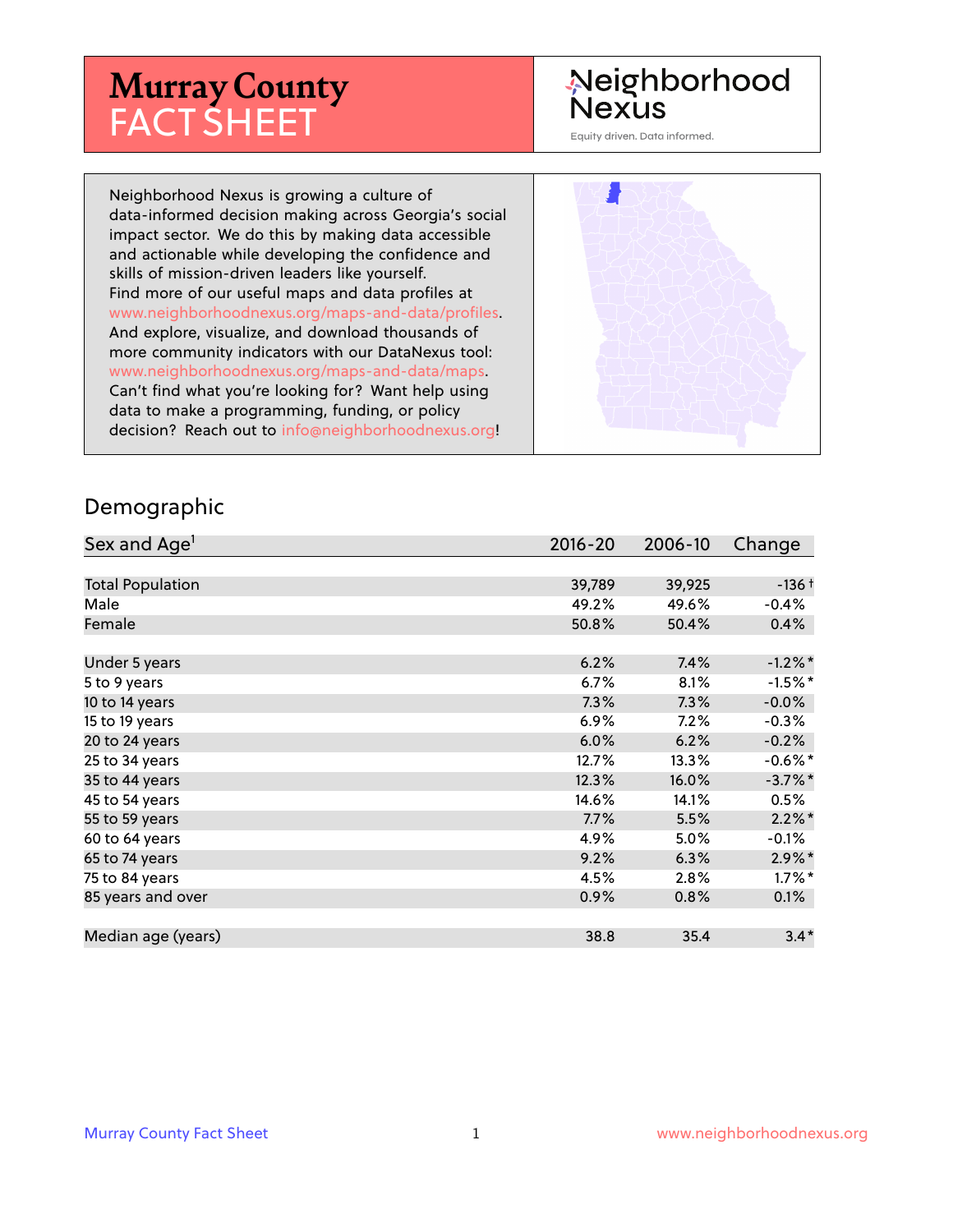## **Murray County** FACT SHEET

#### Neighborhood Nexus

Equity driven. Data informed.

Neighborhood Nexus is growing a culture of data-informed decision making across Georgia's social impact sector. We do this by making data accessible and actionable while developing the confidence and skills of mission-driven leaders like yourself. Find more of our useful maps and data profiles at www.neighborhoodnexus.org/maps-and-data/profiles. And explore, visualize, and download thousands of more community indicators with our DataNexus tool: www.neighborhoodnexus.org/maps-and-data/maps. Can't find what you're looking for? Want help using data to make a programming, funding, or policy decision? Reach out to [info@neighborhoodnexus.org!](mailto:info@neighborhoodnexus.org)



#### Demographic

| Sex and Age <sup>1</sup> | $2016 - 20$ | 2006-10 | Change     |
|--------------------------|-------------|---------|------------|
|                          |             |         |            |
| <b>Total Population</b>  | 39,789      | 39,925  | $-136+$    |
| Male                     | 49.2%       | 49.6%   | $-0.4%$    |
| Female                   | 50.8%       | 50.4%   | $0.4\%$    |
|                          |             |         |            |
| Under 5 years            | 6.2%        | 7.4%    | $-1.2\%$ * |
| 5 to 9 years             | $6.7\%$     | 8.1%    | $-1.5%$ *  |
| 10 to 14 years           | 7.3%        | 7.3%    | $-0.0\%$   |
| 15 to 19 years           | 6.9%        | 7.2%    | $-0.3%$    |
| 20 to 24 years           | 6.0%        | 6.2%    | $-0.2%$    |
| 25 to 34 years           | 12.7%       | 13.3%   | $-0.6%$ *  |
| 35 to 44 years           | 12.3%       | 16.0%   | $-3.7\%$ * |
| 45 to 54 years           | 14.6%       | 14.1%   | 0.5%       |
| 55 to 59 years           | 7.7%        | 5.5%    | $2.2\%$ *  |
| 60 to 64 years           | 4.9%        | 5.0%    | $-0.1\%$   |
| 65 to 74 years           | 9.2%        | 6.3%    | $2.9\%*$   |
| 75 to 84 years           | 4.5%        | 2.8%    | $1.7\%$ *  |
| 85 years and over        | 0.9%        | 0.8%    | 0.1%       |
|                          |             |         |            |
| Median age (years)       | 38.8        | 35.4    | $3.4*$     |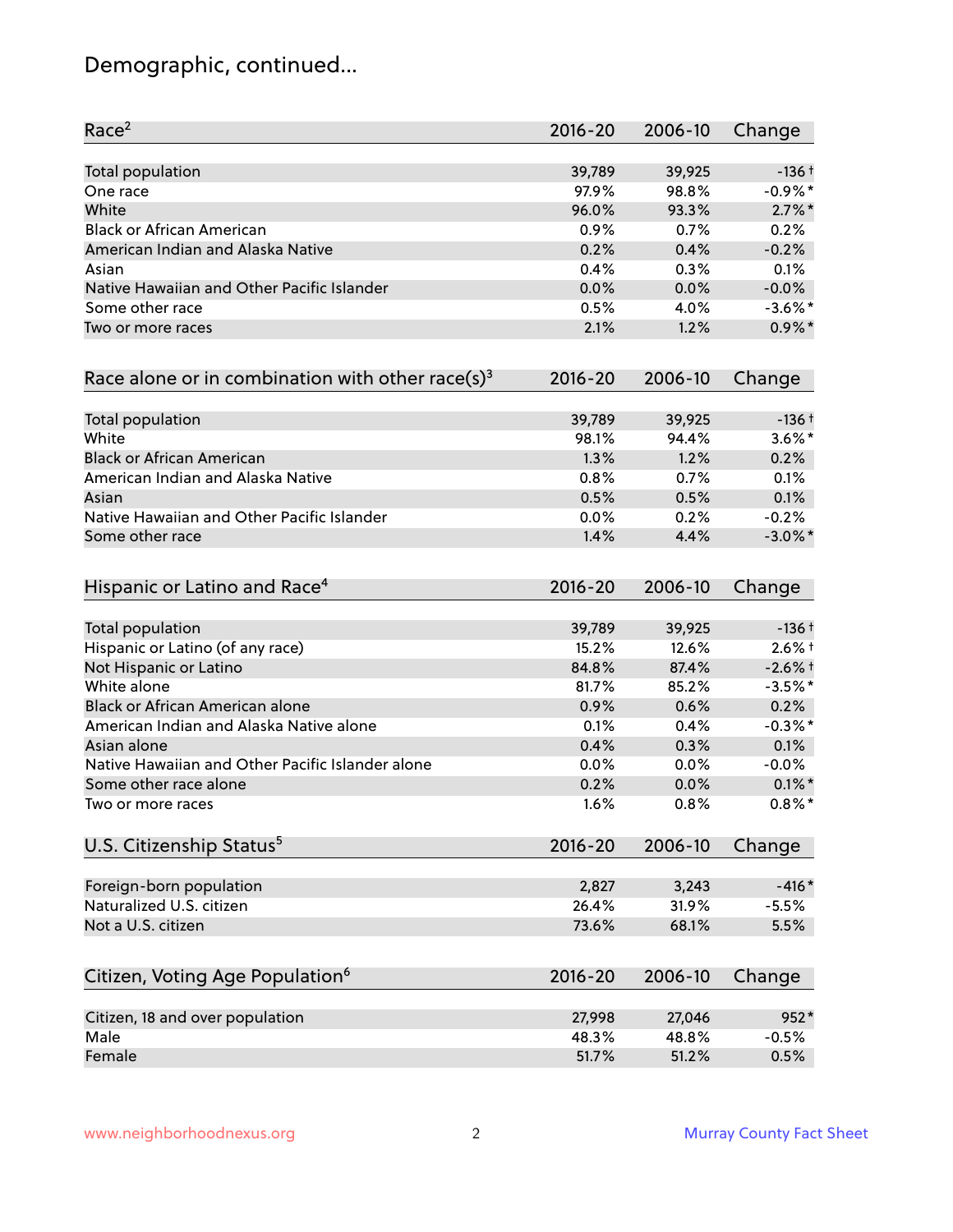### Demographic, continued...

| Race <sup>2</sup>                                            | $2016 - 20$ | 2006-10 | Change     |
|--------------------------------------------------------------|-------------|---------|------------|
| <b>Total population</b>                                      | 39,789      | 39,925  | $-136+$    |
| One race                                                     | 97.9%       | 98.8%   | $-0.9%$ *  |
| White                                                        | 96.0%       | 93.3%   | $2.7\%$ *  |
| <b>Black or African American</b>                             | 0.9%        | 0.7%    | 0.2%       |
| American Indian and Alaska Native                            | 0.2%        | 0.4%    | $-0.2%$    |
| Asian                                                        | 0.4%        | 0.3%    | 0.1%       |
| Native Hawaiian and Other Pacific Islander                   | 0.0%        | 0.0%    | $-0.0%$    |
| Some other race                                              | 0.5%        | 4.0%    | $-3.6\%$ * |
| Two or more races                                            | 2.1%        | 1.2%    | $0.9\%$ *  |
| Race alone or in combination with other race(s) <sup>3</sup> | $2016 - 20$ | 2006-10 | Change     |
| Total population                                             | 39,789      | 39,925  | $-136+$    |
| White                                                        | 98.1%       | 94.4%   | $3.6\%$ *  |
| <b>Black or African American</b>                             | 1.3%        | 1.2%    | 0.2%       |
| American Indian and Alaska Native                            | 0.8%        | 0.7%    | 0.1%       |
| Asian                                                        | 0.5%        | 0.5%    | 0.1%       |
| Native Hawaiian and Other Pacific Islander                   | 0.0%        | 0.2%    | $-0.2%$    |
| Some other race                                              | 1.4%        | 4.4%    | $-3.0\%$ * |
| Hispanic or Latino and Race <sup>4</sup>                     | $2016 - 20$ | 2006-10 | Change     |
| Total population                                             | 39,789      | 39,925  | $-136+$    |
| Hispanic or Latino (of any race)                             | 15.2%       | 12.6%   | $2.6%$ †   |
| Not Hispanic or Latino                                       | 84.8%       | 87.4%   | $-2.6%$ †  |
| White alone                                                  | 81.7%       | 85.2%   | $-3.5%$ *  |
| Black or African American alone                              | 0.9%        | 0.6%    | 0.2%       |
| American Indian and Alaska Native alone                      | 0.1%        | 0.4%    | $-0.3\%$ * |
| Asian alone                                                  | 0.4%        | 0.3%    | 0.1%       |
| Native Hawaiian and Other Pacific Islander alone             | 0.0%        | 0.0%    | $-0.0%$    |
| Some other race alone                                        | 0.2%        | 0.0%    | $0.1\%$ *  |
| Two or more races                                            | 1.6%        | 0.8%    | $0.8\%$ *  |
| U.S. Citizenship Status <sup>5</sup>                         | $2016 - 20$ | 2006-10 | Change     |
| Foreign-born population                                      | 2,827       | 3,243   | $-416*$    |
| Naturalized U.S. citizen                                     | 26.4%       | 31.9%   | $-5.5%$    |
| Not a U.S. citizen                                           | 73.6%       | 68.1%   | 5.5%       |
| Citizen, Voting Age Population <sup>6</sup>                  | $2016 - 20$ | 2006-10 | Change     |
|                                                              |             |         |            |
| Citizen, 18 and over population                              | 27,998      | 27,046  | 952*       |
| Male                                                         | 48.3%       | 48.8%   | $-0.5%$    |
| Female                                                       | 51.7%       | 51.2%   | 0.5%       |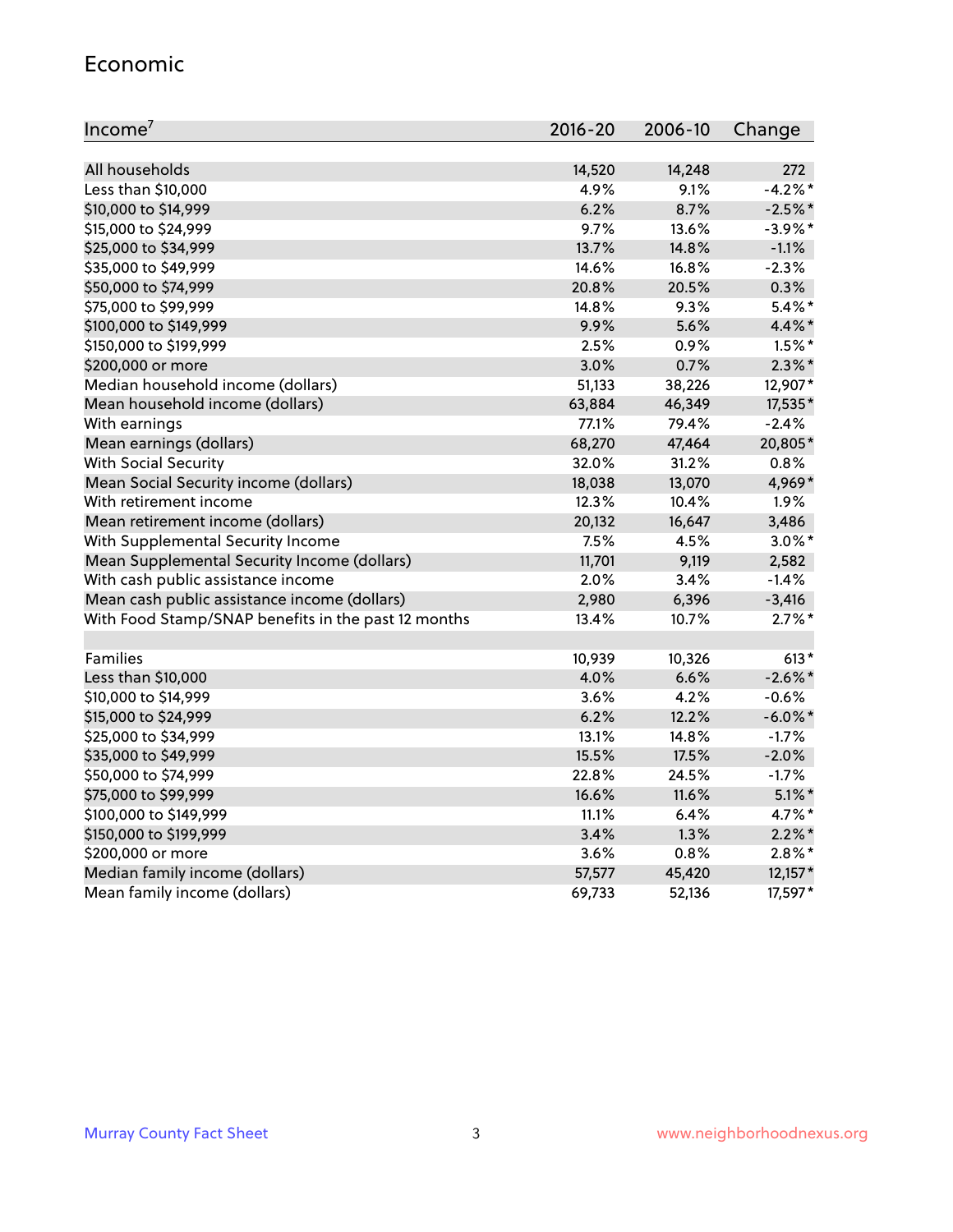#### Economic

| Income <sup>7</sup>                                 | $2016 - 20$ | 2006-10 | Change     |
|-----------------------------------------------------|-------------|---------|------------|
|                                                     |             |         |            |
| All households                                      | 14,520      | 14,248  | 272        |
| Less than \$10,000                                  | 4.9%        | 9.1%    | $-4.2%$    |
| \$10,000 to \$14,999                                | 6.2%        | 8.7%    | $-2.5%$ *  |
| \$15,000 to \$24,999                                | 9.7%        | 13.6%   | $-3.9%$ *  |
| \$25,000 to \$34,999                                | 13.7%       | 14.8%   | $-1.1%$    |
| \$35,000 to \$49,999                                | 14.6%       | 16.8%   | $-2.3%$    |
| \$50,000 to \$74,999                                | 20.8%       | 20.5%   | 0.3%       |
| \$75,000 to \$99,999                                | 14.8%       | 9.3%    | $5.4\%$ *  |
| \$100,000 to \$149,999                              | 9.9%        | 5.6%    | 4.4%*      |
| \$150,000 to \$199,999                              | 2.5%        | 0.9%    | $1.5\%$ *  |
| \$200,000 or more                                   | 3.0%        | 0.7%    | $2.3\%$ *  |
| Median household income (dollars)                   | 51,133      | 38,226  | 12,907*    |
| Mean household income (dollars)                     | 63,884      | 46,349  | 17,535*    |
| With earnings                                       | 77.1%       | 79.4%   | $-2.4%$    |
| Mean earnings (dollars)                             | 68,270      | 47,464  | 20,805*    |
| <b>With Social Security</b>                         | 32.0%       | 31.2%   | 0.8%       |
| Mean Social Security income (dollars)               | 18,038      | 13,070  | 4,969*     |
| With retirement income                              | 12.3%       | 10.4%   | 1.9%       |
| Mean retirement income (dollars)                    | 20,132      | 16,647  | 3,486      |
| With Supplemental Security Income                   | 7.5%        | 4.5%    | $3.0\%$ *  |
| Mean Supplemental Security Income (dollars)         | 11,701      | 9,119   | 2,582      |
| With cash public assistance income                  | 2.0%        | 3.4%    | $-1.4%$    |
| Mean cash public assistance income (dollars)        | 2,980       | 6,396   | $-3,416$   |
| With Food Stamp/SNAP benefits in the past 12 months | 13.4%       | 10.7%   | $2.7\%$ *  |
|                                                     |             |         |            |
| Families                                            | 10,939      | 10,326  | $613*$     |
| Less than \$10,000                                  | 4.0%        | 6.6%    | $-2.6\%$ * |
| \$10,000 to \$14,999                                | 3.6%        | 4.2%    | $-0.6%$    |
| \$15,000 to \$24,999                                | 6.2%        | 12.2%   | $-6.0\%$ * |
| \$25,000 to \$34,999                                | 13.1%       | 14.8%   | $-1.7%$    |
| \$35,000 to \$49,999                                | 15.5%       | 17.5%   | $-2.0%$    |
| \$50,000 to \$74,999                                | 22.8%       | 24.5%   | $-1.7%$    |
| \$75,000 to \$99,999                                | 16.6%       | 11.6%   | $5.1\%$ *  |
| \$100,000 to \$149,999                              | 11.1%       | 6.4%    | 4.7%*      |
| \$150,000 to \$199,999                              | 3.4%        | 1.3%    | $2.2\%$ *  |
| \$200,000 or more                                   | 3.6%        | 0.8%    | $2.8\%$ *  |
| Median family income (dollars)                      | 57,577      | 45,420  | $12,157*$  |
| Mean family income (dollars)                        | 69,733      | 52,136  | 17,597*    |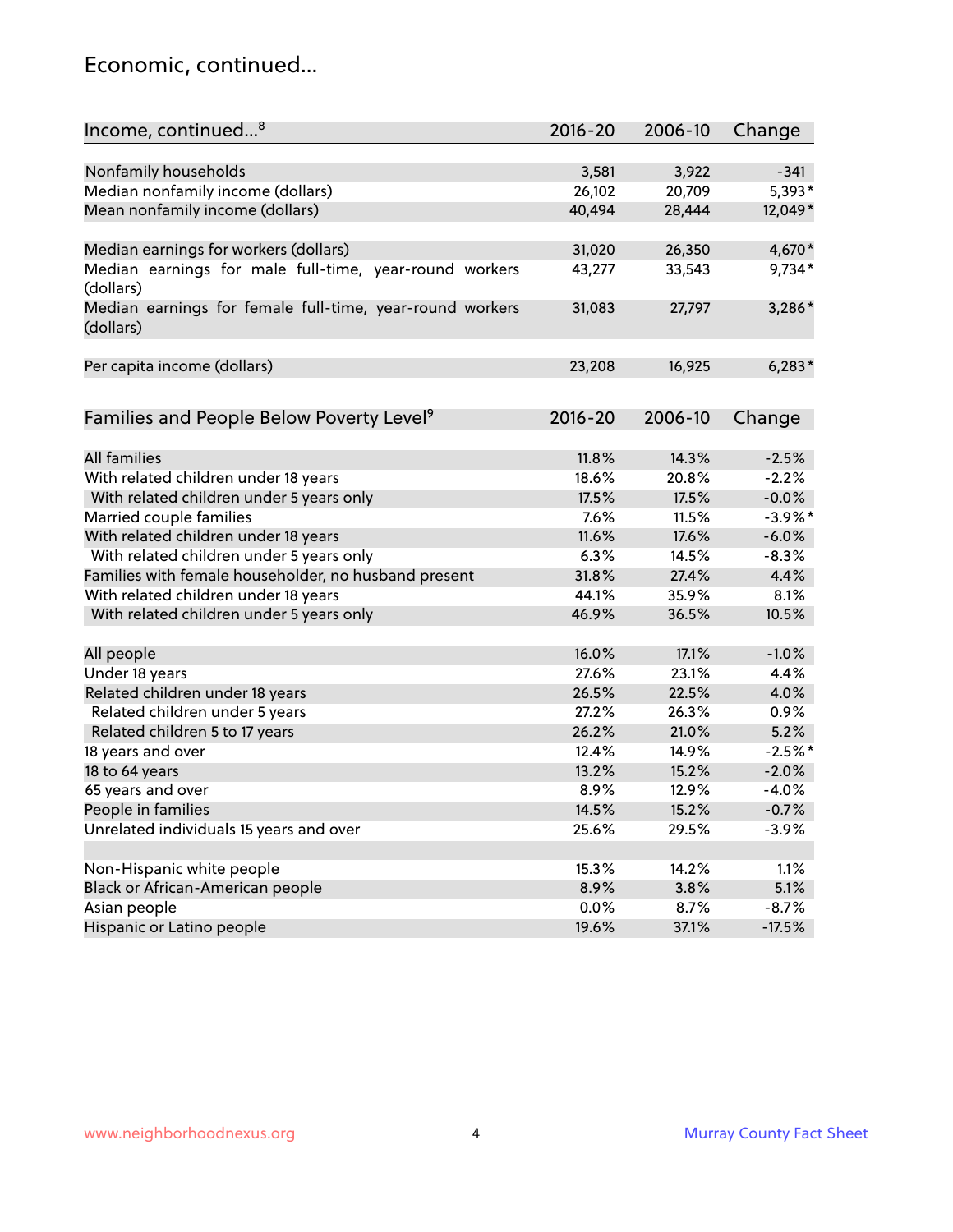#### Economic, continued...

| Income, continued <sup>8</sup>                                        | $2016 - 20$ | 2006-10 | Change     |
|-----------------------------------------------------------------------|-------------|---------|------------|
|                                                                       |             |         |            |
| Nonfamily households                                                  | 3,581       | 3,922   | $-341$     |
| Median nonfamily income (dollars)                                     | 26,102      | 20,709  | 5,393*     |
| Mean nonfamily income (dollars)                                       | 40,494      | 28,444  | 12,049*    |
| Median earnings for workers (dollars)                                 | 31,020      | 26,350  | 4,670*     |
| Median earnings for male full-time, year-round workers<br>(dollars)   | 43,277      | 33,543  | $9,734*$   |
| Median earnings for female full-time, year-round workers<br>(dollars) | 31,083      | 27,797  | 3,286*     |
| Per capita income (dollars)                                           | 23,208      | 16,925  | $6,283*$   |
| Families and People Below Poverty Level <sup>9</sup>                  | $2016 - 20$ | 2006-10 | Change     |
|                                                                       |             |         |            |
| <b>All families</b>                                                   | 11.8%       | 14.3%   | $-2.5%$    |
| With related children under 18 years                                  | 18.6%       | 20.8%   | $-2.2%$    |
| With related children under 5 years only                              | 17.5%       | 17.5%   | $-0.0%$    |
| Married couple families                                               | 7.6%        | 11.5%   | $-3.9\%$ * |
| With related children under 18 years                                  | 11.6%       | 17.6%   | $-6.0%$    |
| With related children under 5 years only                              | 6.3%        | 14.5%   | $-8.3%$    |
| Families with female householder, no husband present                  | 31.8%       | 27.4%   | 4.4%       |
| With related children under 18 years                                  | 44.1%       | 35.9%   | 8.1%       |
| With related children under 5 years only                              | 46.9%       | 36.5%   | 10.5%      |
| All people                                                            | 16.0%       | 17.1%   | $-1.0%$    |
| Under 18 years                                                        | 27.6%       | 23.1%   | 4.4%       |
| Related children under 18 years                                       | 26.5%       | 22.5%   | 4.0%       |
| Related children under 5 years                                        | 27.2%       | 26.3%   | 0.9%       |
| Related children 5 to 17 years                                        | 26.2%       | 21.0%   | 5.2%       |
| 18 years and over                                                     | 12.4%       | 14.9%   | $-2.5%$ *  |
| 18 to 64 years                                                        | 13.2%       | 15.2%   | $-2.0%$    |
| 65 years and over                                                     | 8.9%        | 12.9%   | $-4.0%$    |
| People in families                                                    | 14.5%       | 15.2%   | $-0.7%$    |
| Unrelated individuals 15 years and over                               | 25.6%       | 29.5%   | $-3.9%$    |
|                                                                       |             |         |            |
| Non-Hispanic white people                                             | 15.3%       | 14.2%   | 1.1%       |
| Black or African-American people                                      | 8.9%        | 3.8%    | 5.1%       |
| Asian people                                                          | $0.0\%$     | 8.7%    | $-8.7%$    |
| Hispanic or Latino people                                             | 19.6%       | 37.1%   | $-17.5%$   |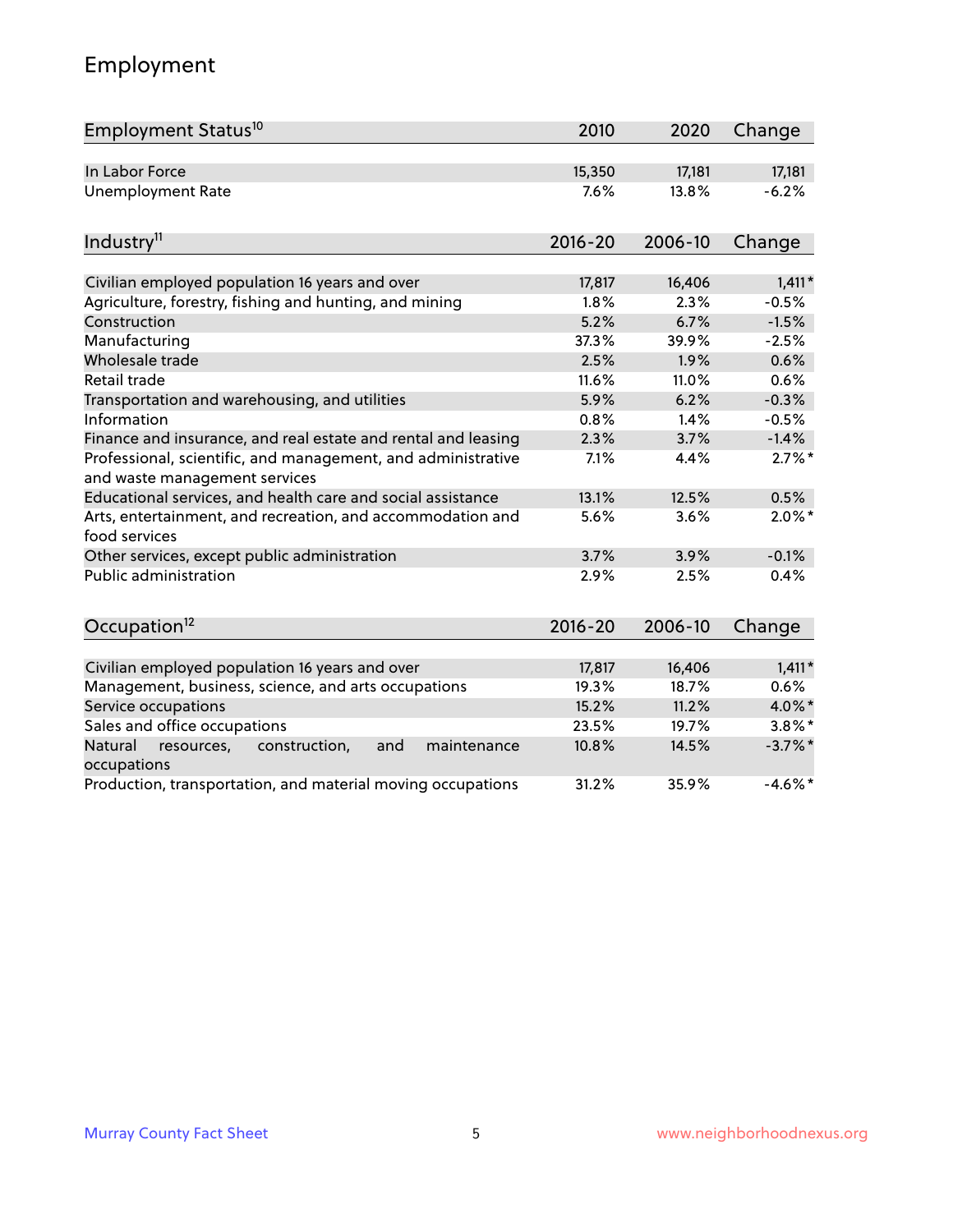### Employment

| Employment Status <sup>10</sup>                                                               | 2010        | 2020    | Change     |
|-----------------------------------------------------------------------------------------------|-------------|---------|------------|
| In Labor Force                                                                                | 15,350      | 17,181  | 17,181     |
| Unemployment Rate                                                                             | 7.6%        | 13.8%   | $-6.2%$    |
| Industry <sup>11</sup>                                                                        | $2016 - 20$ | 2006-10 | Change     |
|                                                                                               |             |         |            |
| Civilian employed population 16 years and over                                                | 17,817      | 16,406  | $1,411*$   |
| Agriculture, forestry, fishing and hunting, and mining                                        | 1.8%        | 2.3%    | $-0.5%$    |
| Construction                                                                                  | 5.2%        | 6.7%    | $-1.5%$    |
| Manufacturing                                                                                 | 37.3%       | 39.9%   | $-2.5%$    |
| Wholesale trade                                                                               | 2.5%        | 1.9%    | 0.6%       |
| Retail trade                                                                                  | 11.6%       | 11.0%   | 0.6%       |
| Transportation and warehousing, and utilities                                                 | 5.9%        | 6.2%    | $-0.3%$    |
| Information                                                                                   | 0.8%        | 1.4%    | $-0.5%$    |
| Finance and insurance, and real estate and rental and leasing                                 | 2.3%        | 3.7%    | $-1.4%$    |
| Professional, scientific, and management, and administrative<br>and waste management services | 7.1%        | 4.4%    | $2.7\%$ *  |
| Educational services, and health care and social assistance                                   | 13.1%       | 12.5%   | 0.5%       |
| Arts, entertainment, and recreation, and accommodation and<br>food services                   | 5.6%        | 3.6%    | $2.0\%$ *  |
| Other services, except public administration                                                  | 3.7%        | 3.9%    | $-0.1%$    |
| <b>Public administration</b>                                                                  | 2.9%        | 2.5%    | 0.4%       |
| Occupation <sup>12</sup>                                                                      | $2016 - 20$ | 2006-10 | Change     |
|                                                                                               |             |         |            |
| Civilian employed population 16 years and over                                                | 17,817      | 16,406  | $1,411*$   |
| Management, business, science, and arts occupations                                           | 19.3%       | 18.7%   | 0.6%       |
| Service occupations                                                                           | 15.2%       | 11.2%   | 4.0%*      |
| Sales and office occupations                                                                  | 23.5%       | 19.7%   | $3.8\%$ *  |
| Natural<br>resources,<br>construction,<br>and<br>maintenance<br>occupations                   | 10.8%       | 14.5%   | $-3.7%$ *  |
| Production, transportation, and material moving occupations                                   | 31.2%       | 35.9%   | $-4.6\%$ * |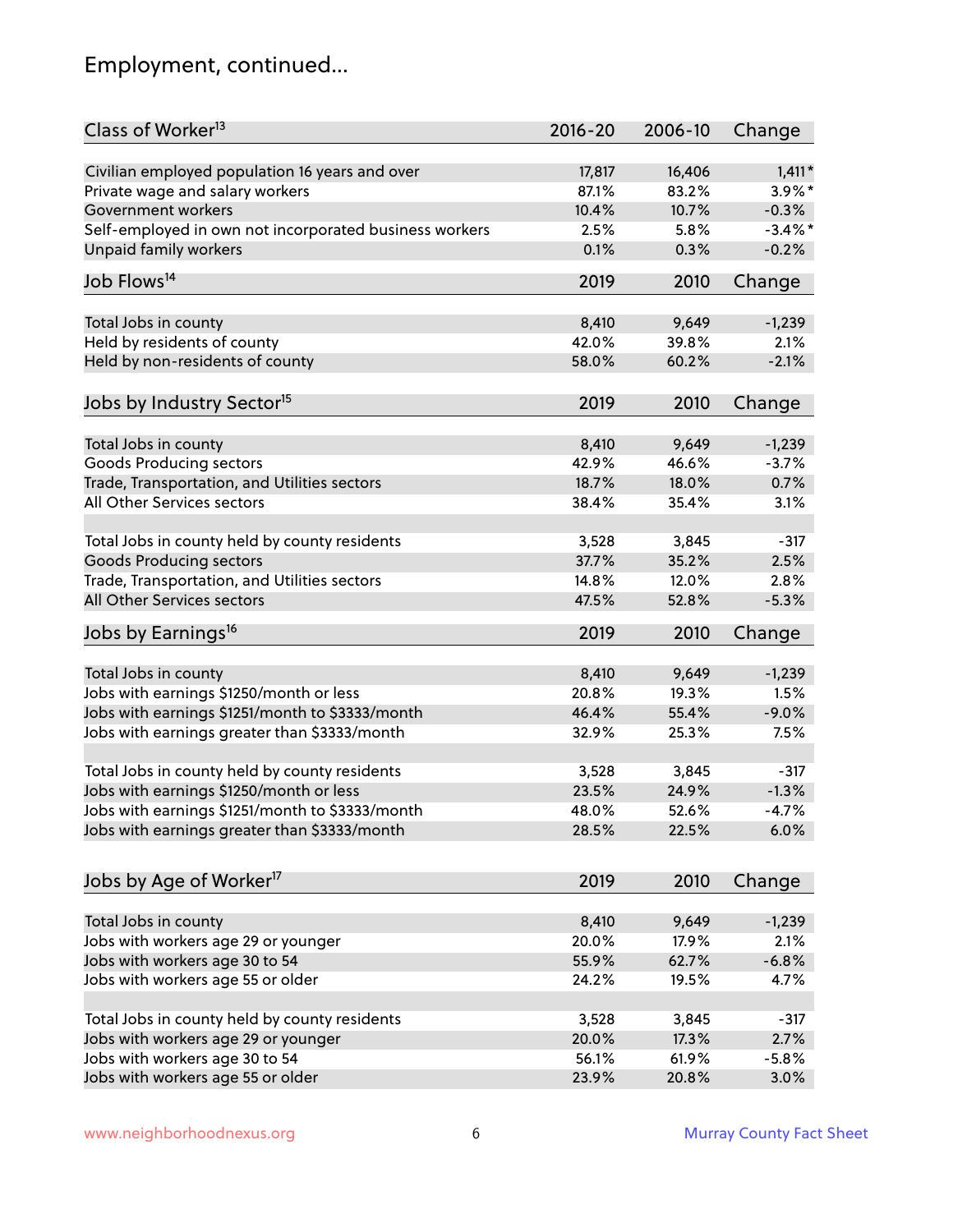### Employment, continued...

| Class of Worker <sup>13</sup>                                              | $2016 - 20$ | 2006-10 | Change     |
|----------------------------------------------------------------------------|-------------|---------|------------|
| Civilian employed population 16 years and over                             | 17,817      | 16,406  | $1,411*$   |
| Private wage and salary workers                                            | 87.1%       | 83.2%   | $3.9\%$ *  |
| Government workers                                                         | 10.4%       | 10.7%   | $-0.3%$    |
| Self-employed in own not incorporated business workers                     | 2.5%        | 5.8%    | $-3.4\%$ * |
| <b>Unpaid family workers</b>                                               | 0.1%        | 0.3%    | $-0.2%$    |
| Job Flows <sup>14</sup>                                                    | 2019        | 2010    | Change     |
|                                                                            |             |         |            |
| Total Jobs in county                                                       | 8,410       | 9,649   | $-1,239$   |
| Held by residents of county                                                | 42.0%       | 39.8%   | 2.1%       |
| Held by non-residents of county                                            | 58.0%       | 60.2%   | $-2.1%$    |
| Jobs by Industry Sector <sup>15</sup>                                      | 2019        | 2010    | Change     |
|                                                                            | 8,410       | 9,649   | $-1,239$   |
| Total Jobs in county<br><b>Goods Producing sectors</b>                     | 42.9%       | 46.6%   | $-3.7%$    |
|                                                                            | 18.7%       | 18.0%   | 0.7%       |
| Trade, Transportation, and Utilities sectors<br>All Other Services sectors |             |         |            |
|                                                                            | 38.4%       | 35.4%   | 3.1%       |
| Total Jobs in county held by county residents                              | 3,528       | 3,845   | $-317$     |
| <b>Goods Producing sectors</b>                                             | 37.7%       | 35.2%   | 2.5%       |
| Trade, Transportation, and Utilities sectors                               | 14.8%       | 12.0%   | 2.8%       |
| All Other Services sectors                                                 | 47.5%       | 52.8%   | $-5.3%$    |
| Jobs by Earnings <sup>16</sup>                                             | 2019        | 2010    | Change     |
|                                                                            |             |         |            |
| Total Jobs in county                                                       | 8,410       | 9,649   | $-1,239$   |
| Jobs with earnings \$1250/month or less                                    | 20.8%       | 19.3%   | 1.5%       |
| Jobs with earnings \$1251/month to \$3333/month                            | 46.4%       | 55.4%   | $-9.0%$    |
| Jobs with earnings greater than \$3333/month                               | 32.9%       | 25.3%   | 7.5%       |
| Total Jobs in county held by county residents                              | 3,528       | 3,845   | $-317$     |
| Jobs with earnings \$1250/month or less                                    | 23.5%       | 24.9%   | $-1.3%$    |
| Jobs with earnings \$1251/month to \$3333/month                            | 48.0%       | 52.6%   | $-4.7\%$   |
| Jobs with earnings greater than \$3333/month                               | 28.5%       | 22.5%   | 6.0%       |
|                                                                            |             |         |            |
| Jobs by Age of Worker <sup>17</sup>                                        | 2019        | 2010    | Change     |
| Total Jobs in county                                                       | 8,410       | 9,649   | $-1,239$   |
| Jobs with workers age 29 or younger                                        | 20.0%       | 17.9%   | 2.1%       |
| Jobs with workers age 30 to 54                                             | 55.9%       | 62.7%   | $-6.8%$    |
| Jobs with workers age 55 or older                                          | 24.2%       | 19.5%   | 4.7%       |
|                                                                            |             |         |            |
| Total Jobs in county held by county residents                              | 3,528       | 3,845   | $-317$     |
| Jobs with workers age 29 or younger                                        | 20.0%       | 17.3%   | 2.7%       |
| Jobs with workers age 30 to 54                                             | 56.1%       | 61.9%   | $-5.8%$    |
| Jobs with workers age 55 or older                                          | 23.9%       | 20.8%   | 3.0%       |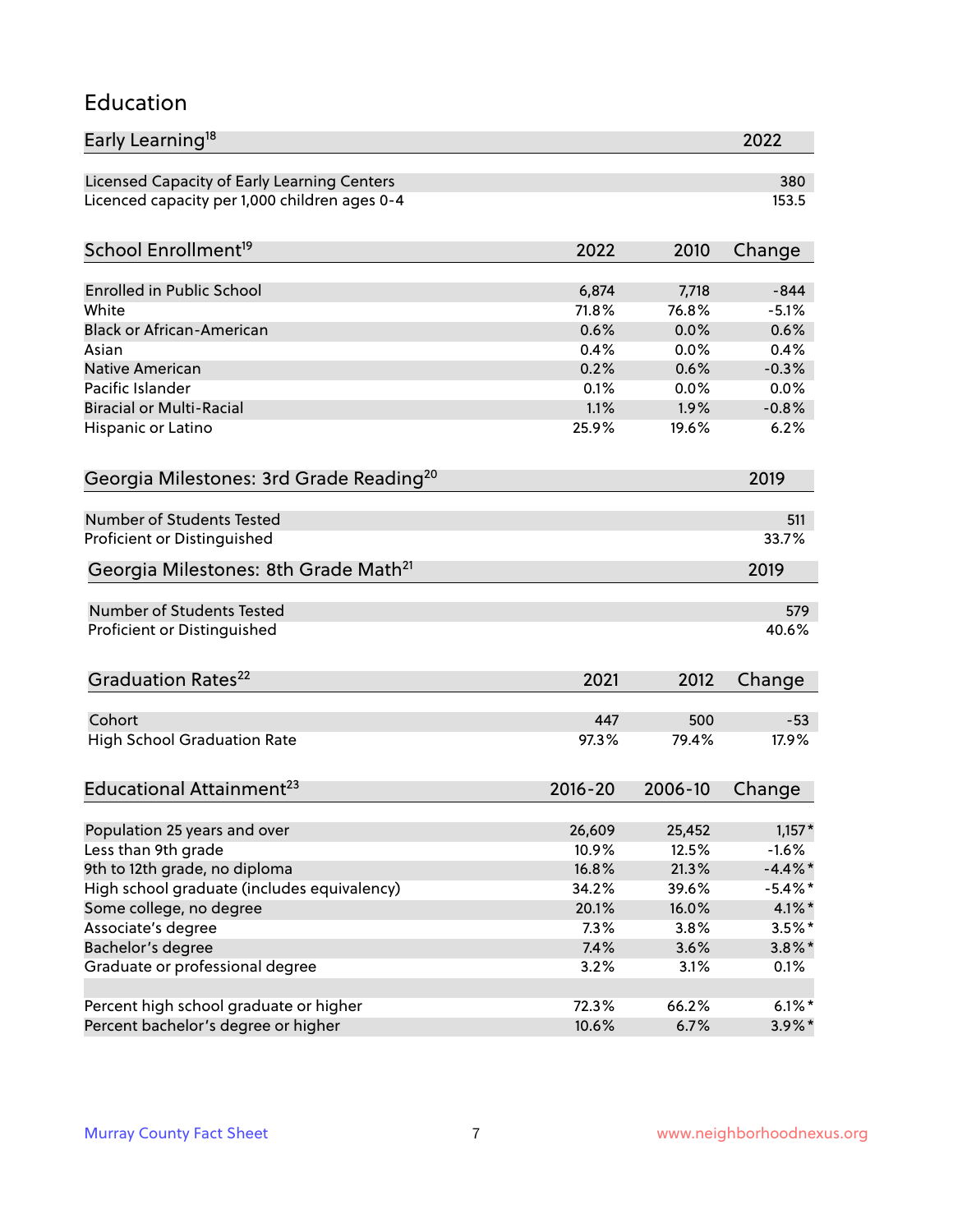#### Education

| Early Learning <sup>18</sup>                        |             |         | 2022       |
|-----------------------------------------------------|-------------|---------|------------|
| Licensed Capacity of Early Learning Centers         |             |         | 380        |
| Licenced capacity per 1,000 children ages 0-4       |             |         | 153.5      |
| School Enrollment <sup>19</sup>                     | 2022        | 2010    | Change     |
|                                                     |             |         |            |
| <b>Enrolled in Public School</b>                    | 6,874       | 7,718   | $-844$     |
| White                                               | 71.8%       | 76.8%   | $-5.1%$    |
| <b>Black or African-American</b>                    | 0.6%        | 0.0%    | 0.6%       |
| Asian                                               | 0.4%        | 0.0%    | 0.4%       |
| Native American                                     | 0.2%        | 0.6%    | $-0.3%$    |
| Pacific Islander                                    | 0.1%        | 0.0%    | 0.0%       |
| <b>Biracial or Multi-Racial</b>                     | 1.1%        | 1.9%    | $-0.8%$    |
| Hispanic or Latino                                  | 25.9%       | 19.6%   | 6.2%       |
| Georgia Milestones: 3rd Grade Reading <sup>20</sup> |             |         | 2019       |
|                                                     |             |         |            |
| <b>Number of Students Tested</b>                    |             |         | 511        |
| Proficient or Distinguished                         |             |         | 33.7%      |
| Georgia Milestones: 8th Grade Math <sup>21</sup>    |             |         | 2019       |
| <b>Number of Students Tested</b>                    |             |         | 579        |
| Proficient or Distinguished                         |             |         | 40.6%      |
|                                                     |             |         |            |
| Graduation Rates <sup>22</sup>                      | 2021        | 2012    | Change     |
| Cohort                                              | 447         | 500     | $-53$      |
| <b>High School Graduation Rate</b>                  | 97.3%       | 79.4%   | 17.9%      |
|                                                     |             |         |            |
| Educational Attainment <sup>23</sup>                | $2016 - 20$ | 2006-10 | Change     |
| Population 25 years and over                        | 26,609      | 25,452  | $1,157*$   |
| Less than 9th grade                                 | 10.9%       | 12.5%   | $-1.6%$    |
| 9th to 12th grade, no diploma                       | 16.8%       | 21.3%   | $-4.4\%$ * |
| High school graduate (includes equivalency)         | 34.2%       | 39.6%   | $-5.4\%$ * |
| Some college, no degree                             | 20.1%       | 16.0%   | $4.1\%$ *  |
| Associate's degree                                  | 7.3%        | 3.8%    | $3.5\%$ *  |
| Bachelor's degree                                   | 7.4%        | 3.6%    |            |
|                                                     |             |         | $3.8\%$ *  |
| Graduate or professional degree                     | 3.2%        | 3.1%    | 0.1%       |
| Percent high school graduate or higher              | 72.3%       | 66.2%   | $6.1\%$ *  |
| Percent bachelor's degree or higher                 | 10.6%       | 6.7%    | $3.9\%*$   |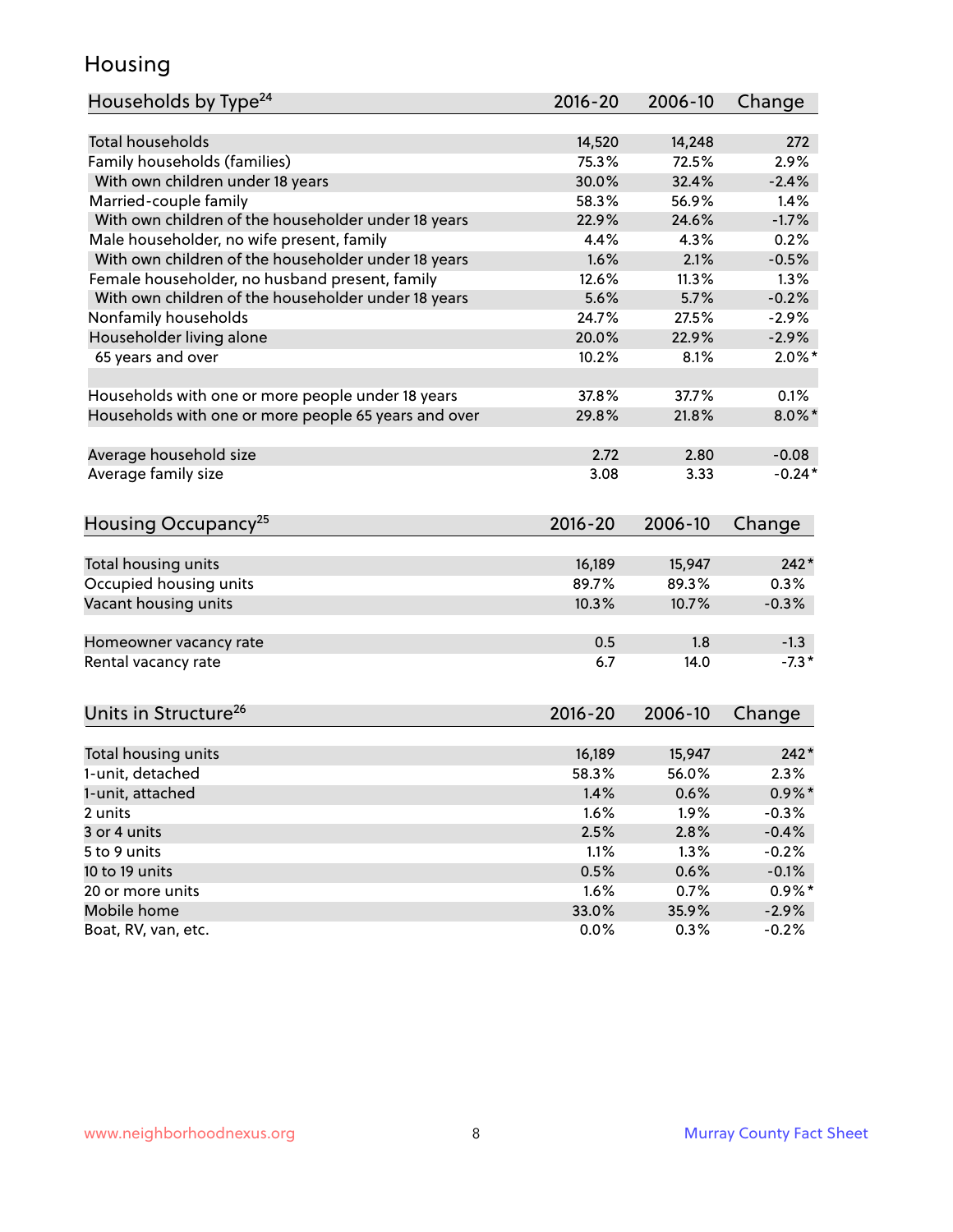#### Housing

| Households by Type <sup>24</sup>                     | 2016-20     | 2006-10 | Change    |
|------------------------------------------------------|-------------|---------|-----------|
|                                                      |             |         |           |
| <b>Total households</b>                              | 14,520      | 14,248  | 272       |
| Family households (families)                         | 75.3%       | 72.5%   | 2.9%      |
| With own children under 18 years                     | 30.0%       | 32.4%   | $-2.4%$   |
| Married-couple family                                | 58.3%       | 56.9%   | 1.4%      |
| With own children of the householder under 18 years  | 22.9%       | 24.6%   | $-1.7%$   |
| Male householder, no wife present, family            | 4.4%        | 4.3%    | 0.2%      |
| With own children of the householder under 18 years  | 1.6%        | 2.1%    | $-0.5%$   |
| Female householder, no husband present, family       | 12.6%       | 11.3%   | 1.3%      |
| With own children of the householder under 18 years  | 5.6%        | 5.7%    | $-0.2%$   |
| Nonfamily households                                 | 24.7%       | 27.5%   | $-2.9%$   |
| Householder living alone                             | 20.0%       | 22.9%   | $-2.9%$   |
| 65 years and over                                    | 10.2%       | 8.1%    | $2.0\%$ * |
|                                                      |             |         |           |
| Households with one or more people under 18 years    | 37.8%       | 37.7%   | 0.1%      |
| Households with one or more people 65 years and over | 29.8%       | 21.8%   | $8.0\%$ * |
|                                                      |             |         |           |
| Average household size                               | 2.72        | 2.80    | $-0.08$   |
| Average family size                                  | 3.08        | 3.33    | $-0.24*$  |
|                                                      |             |         |           |
| Housing Occupancy <sup>25</sup>                      | $2016 - 20$ | 2006-10 | Change    |
|                                                      |             |         |           |
| Total housing units                                  | 16,189      | 15,947  | $242*$    |
| Occupied housing units                               | 89.7%       | 89.3%   | 0.3%      |
| Vacant housing units                                 | 10.3%       | 10.7%   | $-0.3%$   |
|                                                      |             |         |           |
| Homeowner vacancy rate                               | 0.5         | 1.8     | $-1.3$    |
| Rental vacancy rate                                  | 6.7         | 14.0    | $-7.3*$   |
|                                                      |             |         |           |
| Units in Structure <sup>26</sup>                     | 2016-20     | 2006-10 |           |
|                                                      |             |         | Change    |
| Total housing units                                  | 16,189      | 15,947  | $242*$    |
| 1-unit, detached                                     | 58.3%       | 56.0%   | 2.3%      |
| 1-unit, attached                                     | 1.4%        | 0.6%    | $0.9\%$ * |
| 2 units                                              | 1.6%        | 1.9%    | $-0.3%$   |
| 3 or 4 units                                         | 2.5%        | 2.8%    | $-0.4%$   |
| 5 to 9 units                                         | 1.1%        | 1.3%    | $-0.2%$   |
| 10 to 19 units                                       | 0.5%        | 0.6%    | $-0.1%$   |
|                                                      |             |         |           |
| 20 or more units                                     | 1.6%        | 0.7%    | $0.9\%*$  |
| Mobile home                                          | 33.0%       | 35.9%   | $-2.9\%$  |
| Boat, RV, van, etc.                                  | 0.0%        | 0.3%    | $-0.2%$   |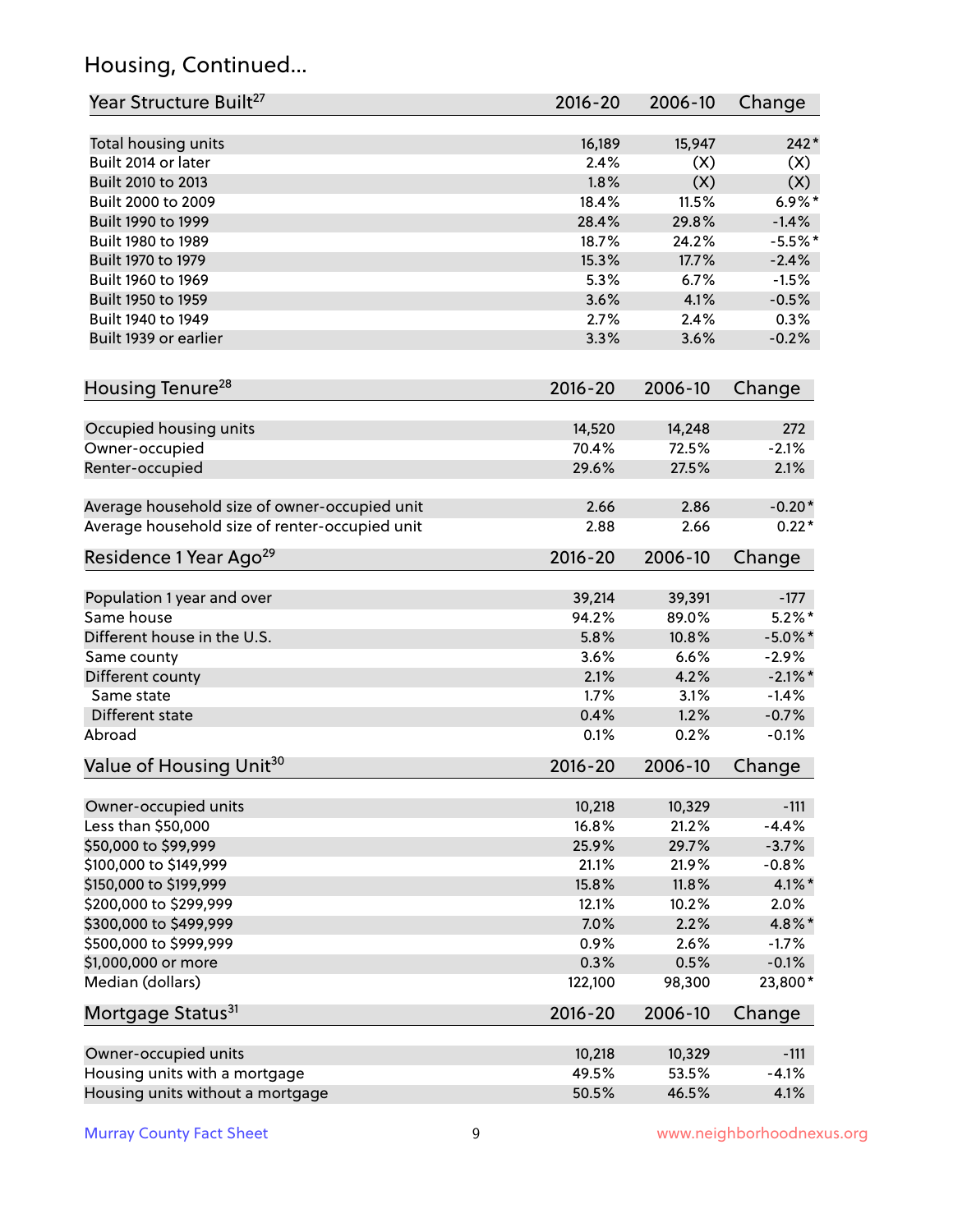### Housing, Continued...

| Year Structure Built <sup>27</sup>             | 2016-20     | 2006-10 | Change     |
|------------------------------------------------|-------------|---------|------------|
| Total housing units                            | 16,189      | 15,947  | $242*$     |
| Built 2014 or later                            | 2.4%        | (X)     | (X)        |
| Built 2010 to 2013                             | 1.8%        | (X)     | (X)        |
| Built 2000 to 2009                             | 18.4%       | 11.5%   | $6.9\%$ *  |
| Built 1990 to 1999                             | 28.4%       | 29.8%   | $-1.4%$    |
| Built 1980 to 1989                             | 18.7%       | 24.2%   | $-5.5%$ *  |
| Built 1970 to 1979                             | 15.3%       | 17.7%   | $-2.4%$    |
| Built 1960 to 1969                             | 5.3%        | 6.7%    | $-1.5%$    |
| Built 1950 to 1959                             | 3.6%        | 4.1%    | $-0.5%$    |
| Built 1940 to 1949                             | 2.7%        | 2.4%    | 0.3%       |
| Built 1939 or earlier                          | 3.3%        | 3.6%    | $-0.2%$    |
| Housing Tenure <sup>28</sup>                   | $2016 - 20$ | 2006-10 | Change     |
| Occupied housing units                         | 14,520      | 14,248  | 272        |
| Owner-occupied                                 | 70.4%       | 72.5%   | $-2.1%$    |
| Renter-occupied                                | 29.6%       | 27.5%   | 2.1%       |
|                                                |             |         |            |
| Average household size of owner-occupied unit  | 2.66        | 2.86    | $-0.20*$   |
| Average household size of renter-occupied unit | 2.88        | 2.66    | $0.22*$    |
| Residence 1 Year Ago <sup>29</sup>             | $2016 - 20$ | 2006-10 | Change     |
| Population 1 year and over                     | 39,214      | 39,391  | $-177$     |
| Same house                                     | 94.2%       | 89.0%   | $5.2\%$ *  |
| Different house in the U.S.                    | 5.8%        | 10.8%   | $-5.0\%$ * |
| Same county                                    | 3.6%        | 6.6%    | $-2.9%$    |
| Different county                               | 2.1%        | 4.2%    | $-2.1\%$ * |
| Same state                                     | 1.7%        | 3.1%    | $-1.4%$    |
| Different state                                | 0.4%        | 1.2%    | $-0.7%$    |
| Abroad                                         | 0.1%        | 0.2%    | $-0.1%$    |
| Value of Housing Unit <sup>30</sup>            | 2016-20     | 2006-10 | Change     |
|                                                |             |         |            |
| Owner-occupied units                           | 10,218      | 10,329  | $-111$     |
| Less than \$50,000                             | 16.8%       | 21.2%   | $-4.4%$    |
| \$50,000 to \$99,999                           | 25.9%       | 29.7%   | $-3.7%$    |
| \$100,000 to \$149,999                         | 21.1%       | 21.9%   | $-0.8%$    |
| \$150,000 to \$199,999                         | 15.8%       | 11.8%   | $4.1\%$ *  |
| \$200,000 to \$299,999                         | 12.1%       | 10.2%   | 2.0%       |
| \$300,000 to \$499,999                         | 7.0%        | 2.2%    | 4.8%*      |
| \$500,000 to \$999,999                         | 0.9%        | 2.6%    | $-1.7%$    |
| \$1,000,000 or more                            | 0.3%        | 0.5%    | $-0.1%$    |
| Median (dollars)                               | 122,100     | 98,300  | 23,800*    |
| Mortgage Status <sup>31</sup>                  | $2016 - 20$ | 2006-10 | Change     |
| Owner-occupied units                           | 10,218      | 10,329  | $-111$     |
| Housing units with a mortgage                  | 49.5%       | 53.5%   | $-4.1%$    |
| Housing units without a mortgage               | 50.5%       | 46.5%   | 4.1%       |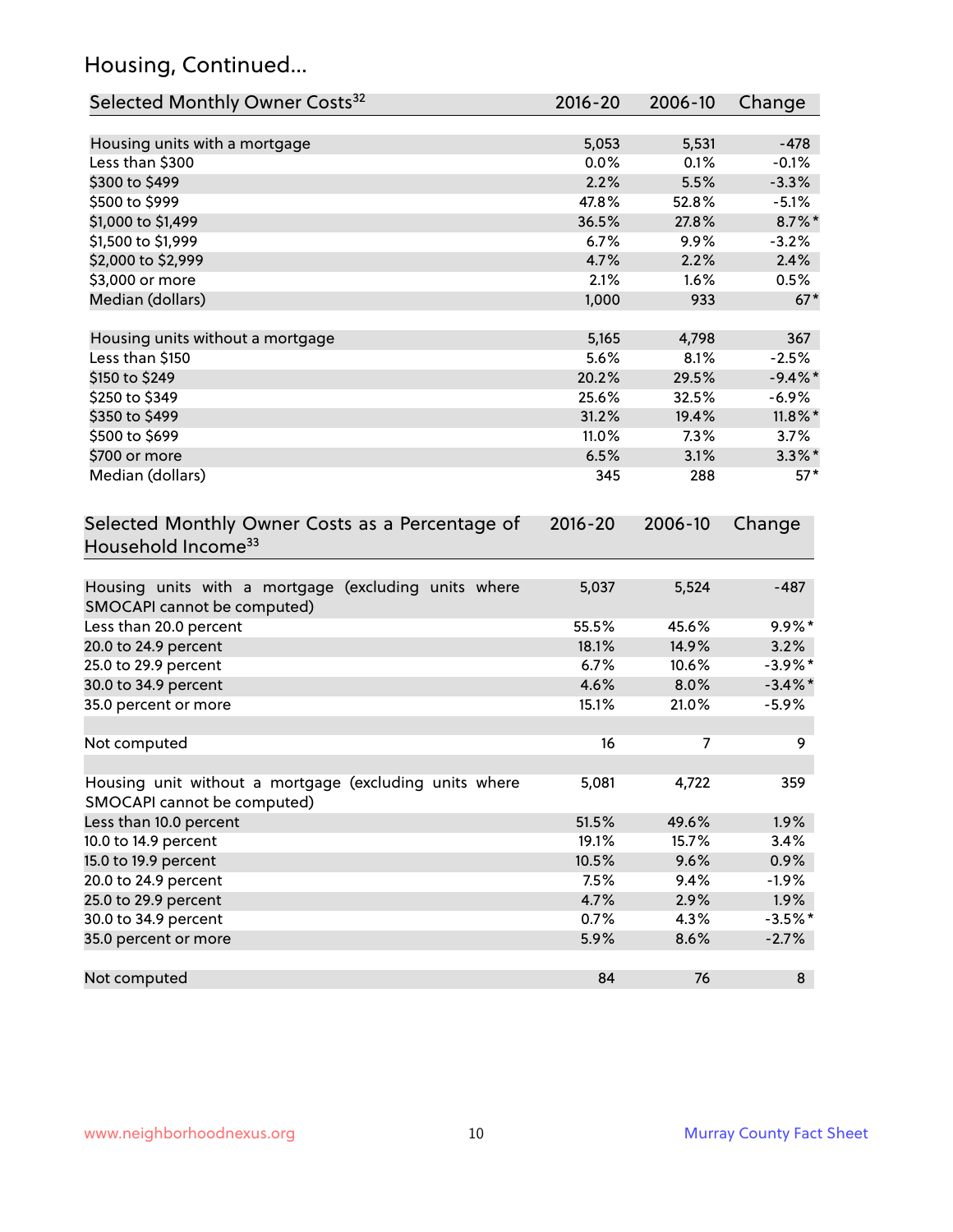### Housing, Continued...

| Selected Monthly Owner Costs <sup>32</sup>                                            | $2016 - 20$ | 2006-10 | Change     |
|---------------------------------------------------------------------------------------|-------------|---------|------------|
| Housing units with a mortgage                                                         | 5,053       | 5,531   | $-478$     |
| Less than \$300                                                                       | 0.0%        | 0.1%    | $-0.1%$    |
| \$300 to \$499                                                                        | 2.2%        | 5.5%    | $-3.3%$    |
| \$500 to \$999                                                                        | 47.8%       | 52.8%   | $-5.1%$    |
| \$1,000 to \$1,499                                                                    | 36.5%       | 27.8%   | 8.7%*      |
| \$1,500 to \$1,999                                                                    | 6.7%        | 9.9%    | $-3.2%$    |
| \$2,000 to \$2,999                                                                    | 4.7%        | 2.2%    | 2.4%       |
| \$3,000 or more                                                                       | 2.1%        | 1.6%    | 0.5%       |
| Median (dollars)                                                                      | 1,000       | 933     | $67*$      |
| Housing units without a mortgage                                                      | 5,165       | 4,798   | 367        |
| Less than \$150                                                                       | 5.6%        | 8.1%    | $-2.5%$    |
| \$150 to \$249                                                                        | 20.2%       | 29.5%   | $-9.4\%$ * |
| \$250 to \$349                                                                        | 25.6%       | 32.5%   | $-6.9%$    |
| \$350 to \$499                                                                        | 31.2%       | 19.4%   | $11.8\%$ * |
| \$500 to \$699                                                                        | 11.0%       | 7.3%    | 3.7%       |
| \$700 or more                                                                         | 6.5%        | 3.1%    | $3.3\%$ *  |
| Median (dollars)                                                                      | 345         | 288     | $57*$      |
| Selected Monthly Owner Costs as a Percentage of<br>Household Income <sup>33</sup>     | $2016 - 20$ | 2006-10 | Change     |
| Housing units with a mortgage (excluding units where<br>SMOCAPI cannot be computed)   | 5,037       | 5,524   | $-487$     |
| Less than 20.0 percent                                                                | 55.5%       | 45.6%   | $9.9\%*$   |
| 20.0 to 24.9 percent                                                                  | 18.1%       | 14.9%   | 3.2%       |
| 25.0 to 29.9 percent                                                                  | 6.7%        | 10.6%   | $-3.9\%$ * |
| 30.0 to 34.9 percent                                                                  | 4.6%        | 8.0%    | $-3.4\%$ * |
| 35.0 percent or more                                                                  | 15.1%       | 21.0%   | $-5.9%$    |
| Not computed                                                                          | 16          | 7       | 9          |
| Housing unit without a mortgage (excluding units where<br>SMOCAPI cannot be computed) | 5,081       | 4,722   | 359        |
| Less than 10.0 percent                                                                | 51.5%       | 49.6%   | 1.9%       |
| 10.0 to 14.9 percent                                                                  | 19.1%       | 15.7%   | 3.4%       |
| 15.0 to 19.9 percent                                                                  | 10.5%       | 9.6%    | 0.9%       |
| 20.0 to 24.9 percent                                                                  | 7.5%        | 9.4%    | $-1.9%$    |
| 25.0 to 29.9 percent                                                                  | 4.7%        | 2.9%    | 1.9%       |
| 30.0 to 34.9 percent                                                                  | 0.7%        | 4.3%    | $-3.5%$ *  |
| 35.0 percent or more                                                                  | 5.9%        | 8.6%    | $-2.7%$    |
| Not computed                                                                          | 84          | 76      | 8          |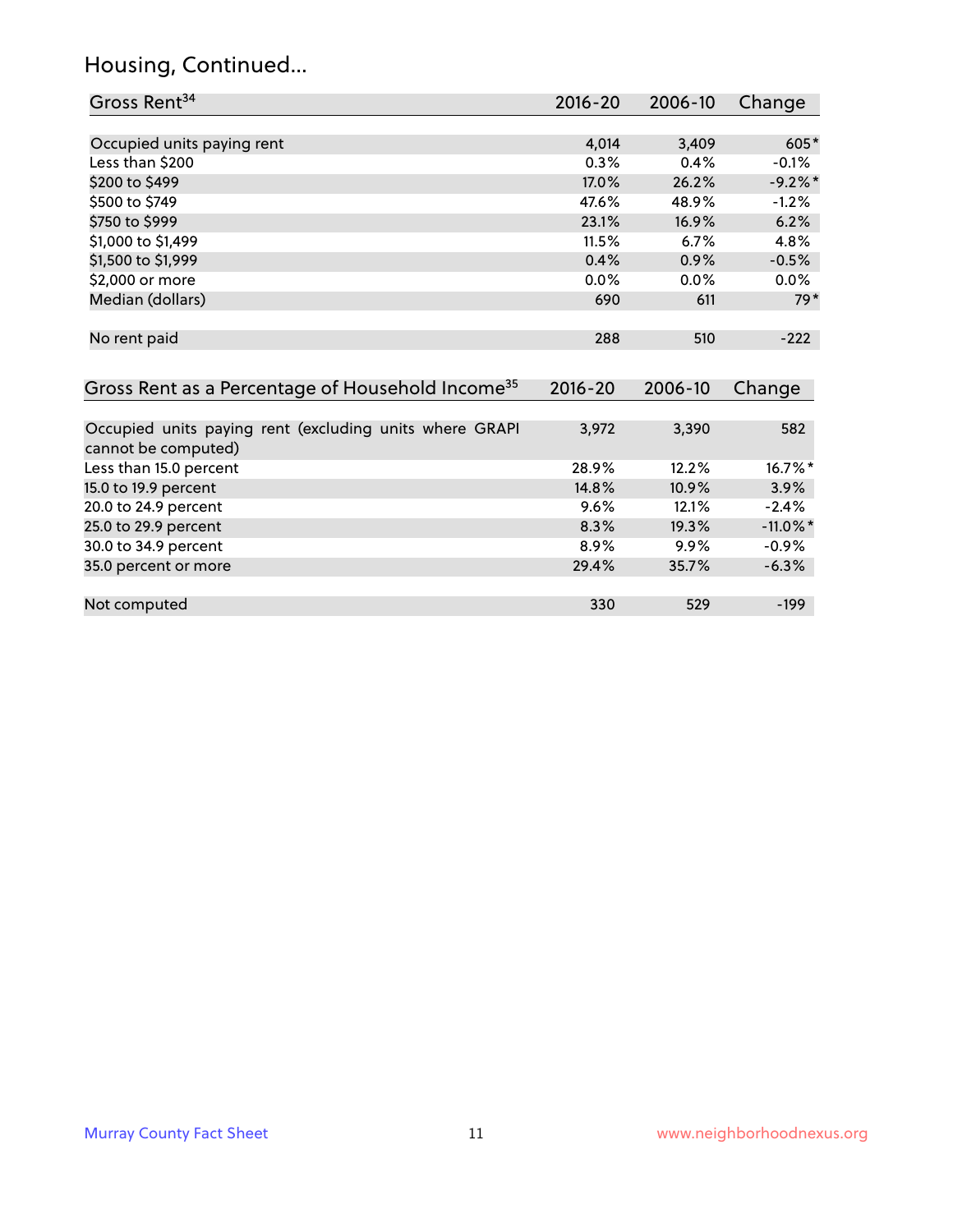### Housing, Continued...

| Gross Rent <sup>34</sup>                                                       | 2016-20     | 2006-10 | Change      |
|--------------------------------------------------------------------------------|-------------|---------|-------------|
|                                                                                |             |         |             |
| Occupied units paying rent                                                     | 4,014       | 3,409   | $605*$      |
| Less than \$200                                                                | 0.3%        | 0.4%    | $-0.1%$     |
| \$200 to \$499                                                                 | 17.0%       | 26.2%   | $-9.2%$     |
| \$500 to \$749                                                                 | 47.6%       | 48.9%   | $-1.2%$     |
| \$750 to \$999                                                                 | 23.1%       | 16.9%   | 6.2%        |
| \$1,000 to \$1,499                                                             | 11.5%       | 6.7%    | 4.8%        |
| \$1,500 to \$1,999                                                             | 0.4%        | 0.9%    | $-0.5%$     |
| \$2,000 or more                                                                | 0.0%        | 0.0%    | 0.0%        |
| Median (dollars)                                                               | 690         | 611     | $79*$       |
| No rent paid                                                                   | 288         | 510     | $-222$      |
| Gross Rent as a Percentage of Household Income <sup>35</sup>                   | $2016 - 20$ | 2006-10 | Change      |
| Occupied units paying rent (excluding units where GRAPI<br>cannot be computed) | 3,972       | 3,390   | 582         |
| Less than 15.0 percent                                                         | 28.9%       | 12.2%   | $16.7\%$ *  |
| 15.0 to 19.9 percent                                                           | 14.8%       | 10.9%   | 3.9%        |
| 20.0 to 24.9 percent                                                           | 9.6%        | 12.1%   | $-2.4%$     |
| 25.0 to 29.9 percent                                                           | 8.3%        | 19.3%   | $-11.0\%$ * |
| 30.0 to 34.9 percent                                                           | 8.9%        | 9.9%    | $-0.9%$     |
| 35.0 percent or more                                                           | 29.4%       | 35.7%   | $-6.3%$     |
| Not computed                                                                   | 330         | 529     | $-199$      |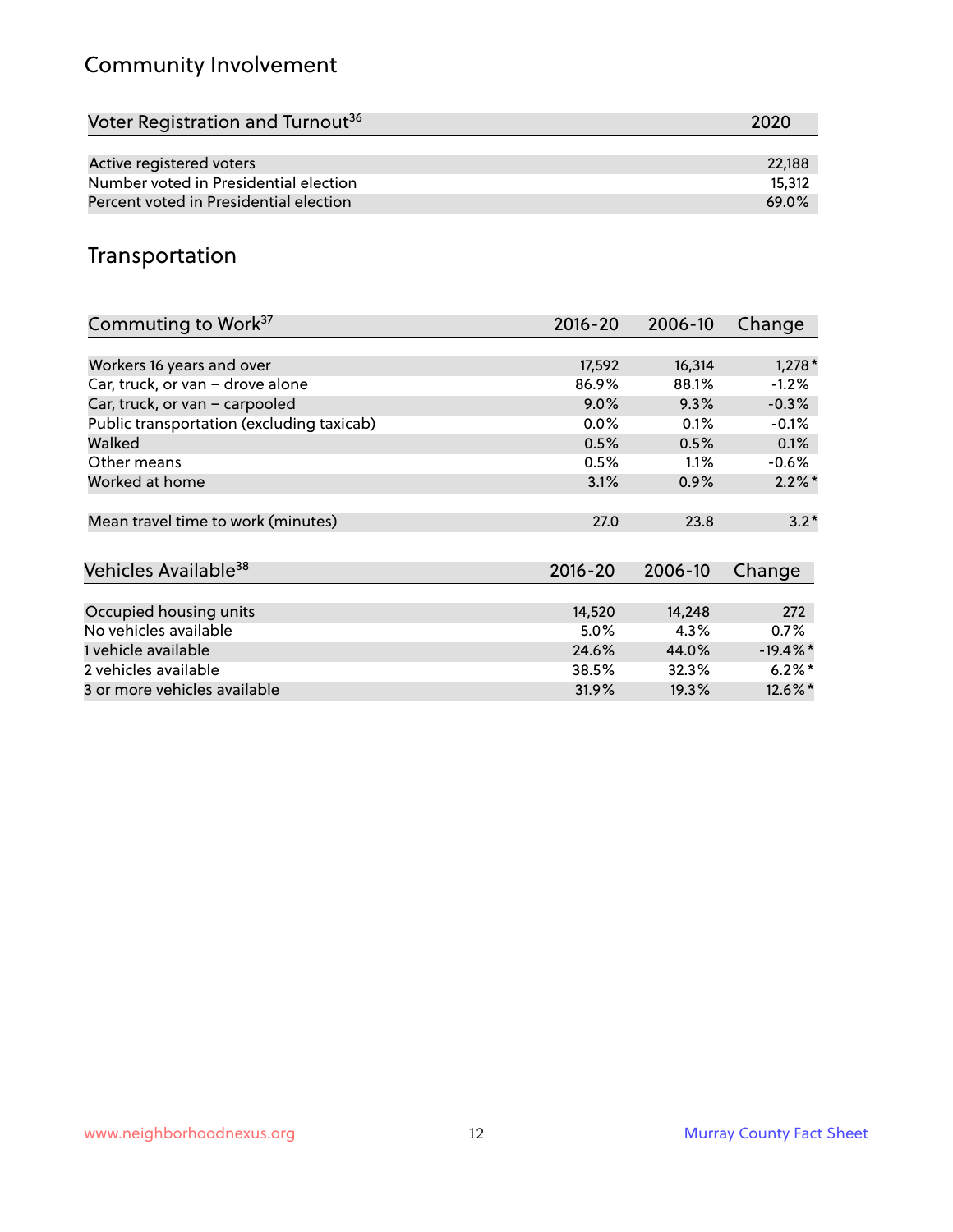### Community Involvement

| Voter Registration and Turnout <sup>36</sup> | 2020   |
|----------------------------------------------|--------|
|                                              |        |
| Active registered voters                     | 22.188 |
| Number voted in Presidential election        | 15,312 |
| Percent voted in Presidential election       | 69.0%  |

#### Transportation

| Commuting to Work <sup>37</sup>           | 2016-20     | 2006-10 | Change     |
|-------------------------------------------|-------------|---------|------------|
|                                           |             |         |            |
| Workers 16 years and over                 | 17,592      | 16,314  | $1,278*$   |
| Car, truck, or van - drove alone          | 86.9%       | 88.1%   | $-1.2%$    |
| Car, truck, or van - carpooled            | 9.0%        | 9.3%    | $-0.3%$    |
| Public transportation (excluding taxicab) | $0.0\%$     | 0.1%    | $-0.1%$    |
| Walked                                    | 0.5%        | 0.5%    | 0.1%       |
| Other means                               | 0.5%        | $1.1\%$ | $-0.6\%$   |
| Worked at home                            | 3.1%        | 0.9%    | $2.2\%$ *  |
|                                           |             |         |            |
| Mean travel time to work (minutes)        | 27.0        | 23.8    | $3.2*$     |
|                                           |             |         |            |
| Vehicles Available <sup>38</sup>          | $2016 - 20$ | 2006-10 | Change     |
|                                           |             |         |            |
| Occupied housing units                    | 14,520      | 14,248  | 272        |
| No vehicles available                     | 5.0%        | 4.3%    | $0.7\%$    |
| 1 vehicle available                       | 24.6%       | 44.0%   | $-19.4%$ * |
| 2 vehicles available                      | 38.5%       | 32.3%   | $6.2\%$ *  |
| 3 or more vehicles available              | 31.9%       | 19.3%   | $12.6\%$ * |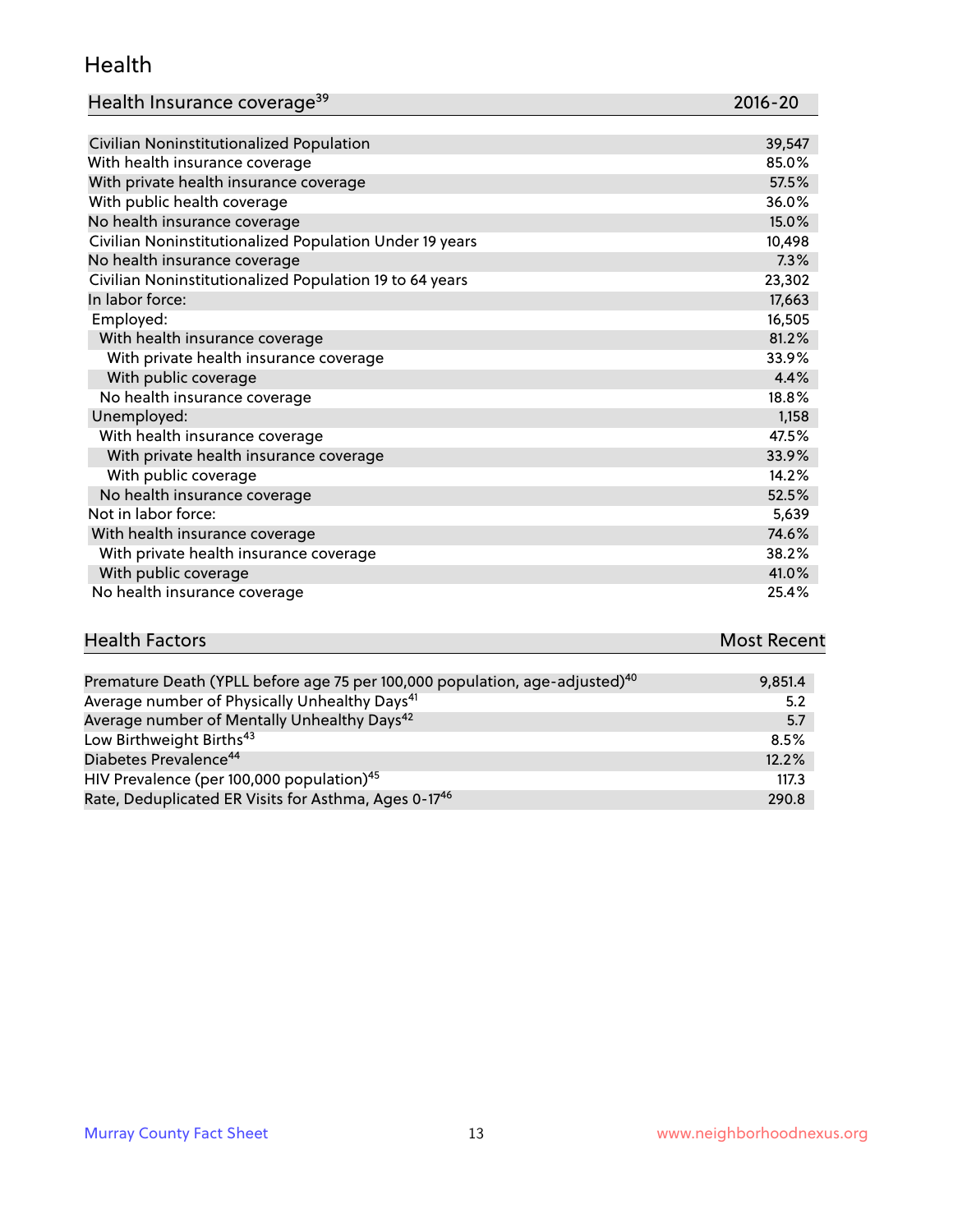#### Health

| Health Insurance coverage <sup>39</sup> | 2016-20 |
|-----------------------------------------|---------|
|-----------------------------------------|---------|

| Civilian Noninstitutionalized Population                | 39,547 |
|---------------------------------------------------------|--------|
| With health insurance coverage                          | 85.0%  |
| With private health insurance coverage                  | 57.5%  |
| With public health coverage                             | 36.0%  |
| No health insurance coverage                            | 15.0%  |
| Civilian Noninstitutionalized Population Under 19 years | 10,498 |
| No health insurance coverage                            | 7.3%   |
| Civilian Noninstitutionalized Population 19 to 64 years | 23,302 |
| In labor force:                                         | 17,663 |
| Employed:                                               | 16,505 |
| With health insurance coverage                          | 81.2%  |
| With private health insurance coverage                  | 33.9%  |
| With public coverage                                    | 4.4%   |
| No health insurance coverage                            | 18.8%  |
| Unemployed:                                             | 1,158  |
| With health insurance coverage                          | 47.5%  |
| With private health insurance coverage                  | 33.9%  |
| With public coverage                                    | 14.2%  |
| No health insurance coverage                            | 52.5%  |
| Not in labor force:                                     | 5,639  |
| With health insurance coverage                          | 74.6%  |
| With private health insurance coverage                  | 38.2%  |
| With public coverage                                    | 41.0%  |
| No health insurance coverage                            | 25.4%  |

# **Health Factors Most Recent** And The Control of the Control of The Control of The Control of The Control of The Control of The Control of The Control of The Control of The Control of The Control of The Control of The Contr

| Premature Death (YPLL before age 75 per 100,000 population, age-adjusted) <sup>40</sup> | 9,851.4 |
|-----------------------------------------------------------------------------------------|---------|
| Average number of Physically Unhealthy Days <sup>41</sup>                               | 5.2     |
| Average number of Mentally Unhealthy Days <sup>42</sup>                                 | 5.7     |
| Low Birthweight Births <sup>43</sup>                                                    | 8.5%    |
| Diabetes Prevalence <sup>44</sup>                                                       | 12.2%   |
| HIV Prevalence (per 100,000 population) <sup>45</sup>                                   | 117.3   |
| Rate, Deduplicated ER Visits for Asthma, Ages 0-17 <sup>46</sup>                        | 290.8   |